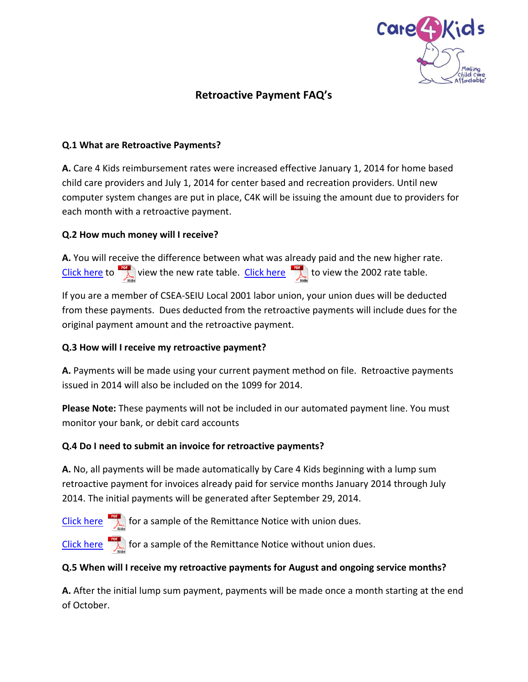

# **Retroactive Payment FAQ's**

## **Q.1 What are Retroactive Payments?**

**A.** Care 4 Kids reimbursement rates were increased effective January 1, 2014 for home based child care providers and July 1, 2014 for center based and recreation providers. Until new computer system changes are put in place, C4K will be issuing the amount due to providers for each month with a retroactive payment.

## **Q.2 How much money will I receive?**

**A.** You will receive the difference between what was already paid and the new higher rate. [Click here](http://www.ctcare4kids.com/files/2014/08/2014C4KRates.pdf) to  $\sum_{\text{Mole}}$  view the new rate table. [Click here](http://www.ctcare4kids.com/files/2012/05/Rates.pdf) to view the 2002 rate table.

If you are a member of CSEA-SEIU Local 2001 labor union, your union dues will be deducted from these payments. Dues deducted from the retroactive payments will include dues for the original payment amount and the retroactive payment.

#### **Q.3 How will I receive my retroactive payment?**

**A.** Payments will be made using your current payment method on file. Retroactive payments issued in 2014 will also be included on the 1099 for 2014.

**Please Note:** These payments will not be included in our automated payment line. You must monitor your bank, or debit card accounts

#### **Q.4 Do I need to submit an invoice for retroactive payments?**

**A.** No, all payments will be made automatically by Care 4 Kids beginning with a lump sum retroactive payment for invoices already paid for service months January 2014 through July 2014. The initial payments will be generated after September 29, 2014.

[Click here](http://www.ctcare4kids.com/files/2014/09/RemitAdviceInformationalMockupwithuniondues.pdf) for a sample of the Remittance Notice with union dues.

[Click here](http://www.ctcare4kids.com/files/2014/09/RemitAdviceInformationalMockupnonunion.pdf)  $\frac{1}{\sqrt{2\pi}}$  for a sample of the Remittance Notice without union dues.

#### **Q.5 When will I receive my retroactive payments for August and ongoing service months?**

**A.** After the initial lump sum payment, payments will be made once a month starting at the end of October.